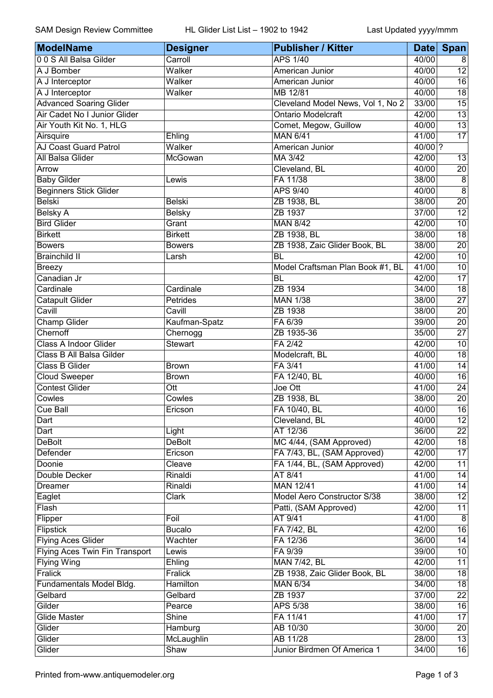| ModelName                      | <b>Designer</b>  | <b>Publisher / Kitter</b>         |         | Date Span       |
|--------------------------------|------------------|-----------------------------------|---------|-----------------|
| 00 S All Balsa Gilder          | Carroll          | <b>APS 1/40</b>                   | 40/00   | 8               |
| A J Bomber                     | Walker           | American Junior                   | 40/00   | $\overline{12}$ |
| A J Interceptor                | Walker           | American Junior                   | 40/00   | $\overline{16}$ |
| A J Interceptor                | Walker           | MB 12/81                          | 40/00   | $\overline{18}$ |
| <b>Advanced Soaring Glider</b> |                  | Cleveland Model News, Vol 1, No 2 | 33/00   | $\overline{15}$ |
| Air Cadet No I Junior Glider   |                  | <b>Ontario Modelcraft</b>         | 42/00   | $\overline{13}$ |
| Air Youth Kit No. 1, HLG       |                  | Comet, Megow, Guillow             | 40/00   | $\overline{13}$ |
| Airsquire                      | Ehling           | <b>MAN 6/41</b>                   | 41/00   | $\overline{17}$ |
| AJ Coast Guard Patrol          | Walker           | American Junior                   | 40/00 ? |                 |
| All Balsa Glider               | McGowan          | MA 3/42                           | 42/00   | 13              |
| Arrow                          |                  | Cleveland, BL                     | 40/00   | $\overline{20}$ |
| <b>Baby Gilder</b>             | Lewis            | FA 11/38                          | 38/00   | $\overline{8}$  |
| <b>Beginners Stick Glider</b>  |                  | <b>APS 9/40</b>                   | 40/00   | $\overline{8}$  |
| <b>Belski</b>                  | <b>Belski</b>    | ZB 1938, BL                       | 38/00   | $\overline{20}$ |
| <b>Belsky A</b>                | <b>Belsky</b>    | ZB 1937                           | 37/00   | 12              |
| <b>Bird Glider</b>             | Grant            | <b>MAN 8/42</b>                   | 42/00   | $\overline{10}$ |
| <b>Birkett</b>                 | <b>Birkett</b>   | ZB 1938, BL                       | 38/00   | $\overline{18}$ |
| <b>Bowers</b>                  | <b>Bowers</b>    | ZB 1938, Zaic Glider Book, BL     | 38/00   | $\overline{20}$ |
| <b>Brainchild II</b>           | Larsh            | BL                                | 42/00   | $\overline{10}$ |
| <b>Breezy</b>                  |                  | Model Craftsman Plan Book #1, BL  | 41/00   | $\overline{10}$ |
| Canadian Jr                    |                  | <b>BL</b>                         | 42/00   | $\overline{17}$ |
| Cardinale                      | Cardinale        | ZB 1934                           | 34/00   | $\overline{18}$ |
| <b>Catapult Glider</b>         | Petrides         | <b>MAN 1/38</b>                   | 38/00   | $\overline{27}$ |
| Cavill                         | Cavill           | ZB 1938                           | 38/00   | $\overline{20}$ |
| <b>Champ Glider</b>            | Kaufman-Spatz    | FA 6/39                           | 39/00   | $\overline{20}$ |
| Chernoff                       | Chernogg         | ZB 1935-36                        | 35/00   | $\overline{27}$ |
| Class A Indoor Glider          | <b>Stewart</b>   | FA 2/42                           | 42/00   | 10              |
| Class B All Balsa Gilder       |                  | Modelcraft, BL                    | 40/00   | $\overline{18}$ |
| Class B Glider                 | <b>Brown</b>     | FA 3/41                           | 41/00   | 14              |
| <b>Cloud Sweeper</b>           | <b>Brown</b>     | FA 12/40, BL                      | 40/00   | $\overline{16}$ |
| <b>Contest Glider</b>          | $\overline{Ott}$ | Joe Ott                           | 41/00   | $\overline{24}$ |
| Cowles                         | Cowles           | ZB 1938, BL                       | 38/00   | $\overline{20}$ |
| Cue Ball                       | Ericson          | FA 10/40, BL                      | 40/00   | 16              |
| Dart                           |                  | Cleveland, BL                     | 40/00   | $\overline{12}$ |
| Dart                           | Light            | AT 12/36                          | 36/00   | $\overline{22}$ |
| <b>DeBolt</b>                  | <b>DeBolt</b>    | MC 4/44, (SAM Approved)           | 42/00   | $\overline{18}$ |
| <b>Defender</b>                | Ericson          | FA 7/43, BL, (SAM Approved)       | 42/00   | $\overline{17}$ |
| Doonie                         | Cleave           | FA 1/44, BL, (SAM Approved)       | 42/00   | 11              |
| Double Decker                  | Rinaldi          | AT 8/41                           | 41/00   | 14              |
| Dreamer                        | Rinaldi          | MAN 12/41                         | 41/00   | $\overline{14}$ |
|                                |                  | Model Aero Constructor S/38       | 38/00   | $\overline{12}$ |
| Eaglet                         | Clark            | Patti, (SAM Approved)             |         |                 |
| Flash                          |                  | AT 9/41                           | 42/00   | 11              |
| Flipper                        | Foil             |                                   | 41/00   | $\overline{8}$  |
| Flipstick                      | <b>Bucalo</b>    | FA 7/42, BL                       | 42/00   | $\overline{16}$ |
| <b>Flying Aces Glider</b>      | Wachter          | FA 12/36                          | 36/00   | $\overline{14}$ |
| Flying Aces Twin Fin Transport | Lewis            | FA 9/39                           | 39/00   | 10              |
| <b>Flying Wing</b>             | Ehling           | MAN 7/42, BL                      | 42/00   | $\overline{11}$ |
| Fralick                        | Fralick          | ZB 1938, Zaic Glider Book, BL     | 38/00   | 18              |
| Fundamentals Model Bldg.       | Hamilton         | <b>MAN 6/34</b>                   | 34/00   | $\overline{18}$ |
| Gelbard                        | Gelbard          | ZB 1937                           | 37/00   | $\overline{22}$ |
| Gilder                         | Pearce           | APS 5/38                          | 38/00   | $\overline{16}$ |
| <b>Glide Master</b>            | <b>Shine</b>     | FA 11/41                          | 41/00   | 17              |
| Glider                         | Hamburg          | AB 10/30                          | 30/00   | $\overline{20}$ |
| Glider                         | McLaughlin       | AB 11/28                          | 28/00   | 13              |
| Glider                         | Shaw             | Junior Birdmen Of America 1       | 34/00   | $\overline{16}$ |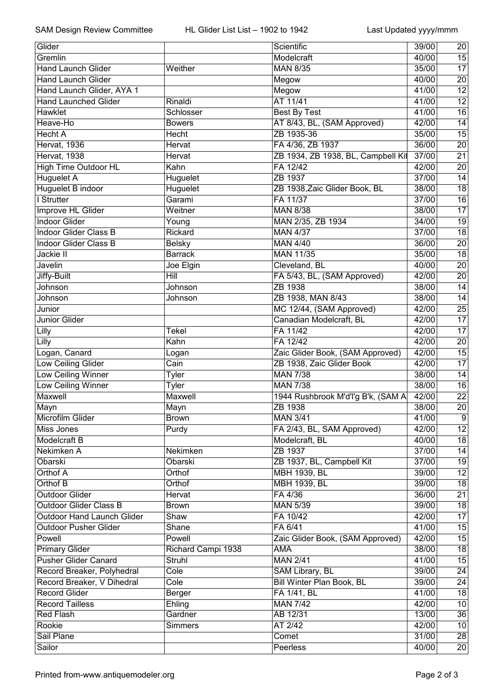| Glider                            |                    | Scientific                         | 39/00 | 20              |
|-----------------------------------|--------------------|------------------------------------|-------|-----------------|
| Gremlin                           |                    | Modelcraft                         | 40/00 | 15              |
| <b>Hand Launch Glider</b>         | Weither            | <b>MAN 8/35</b>                    | 35/00 | $\overline{17}$ |
| <b>Hand Launch Glider</b>         |                    | Megow                              | 40/00 | $\overline{20}$ |
| Hand Launch Glider, AYA 1         |                    | Megow                              | 41/00 | $\overline{12}$ |
| <b>Hand Launched Glider</b>       | Rinaldi            | AT 11/41                           | 41/00 | $\overline{12}$ |
| Hawklet                           | Schlosser          | <b>Best By Test</b>                | 41/00 | 16              |
| Heave-Ho                          | <b>Bowers</b>      | AT 8/43, BL, (SAM Approved)        | 42/00 | 14              |
| <b>Hecht A</b>                    | Hecht              | ZB 1935-36                         | 35/00 | $\overline{15}$ |
| Hervat, 1936                      | Hervat             | FA 4/36, ZB 1937                   | 36/00 | 20              |
| Hervat, 1938                      | Hervat             | ZB 1934, ZB 1938, BL, Campbell Kit | 37/00 | $\overline{21}$ |
| High Time Outdoor HL              | Kahn               | FA 12/42                           | 42/00 | 20              |
| <b>Huguelet A</b>                 | Huguelet           | ZB 1937                            | 37/00 | $\overline{14}$ |
| Huguelet B indoor                 | Huguelet           | ZB 1938, Zaic Glider Book, BL      | 38/00 | $\overline{18}$ |
| I Strutter                        | Garami             | FA 11/37                           | 37/00 | $\overline{16}$ |
| Improve HL Glider                 | Weitner            | <b>MAN 8/38</b>                    | 38/00 | $\overline{17}$ |
| <b>Indoor Glider</b>              | Young              | MAN 2/35, ZB 1934                  | 34/00 | $\overline{19}$ |
| <b>Indoor Glider Class B</b>      | Rickard            | <b>MAN 4/37</b>                    | 37/00 | $\overline{18}$ |
| Indoor Glider Class B             | <b>Belsky</b>      | <b>MAN 4/40</b>                    | 36/00 | $\overline{20}$ |
| Jackie II                         | <b>Barrack</b>     | MAN 11/35                          | 35/00 | $\overline{18}$ |
| Javelin                           | Joe Elgin          | Cleveland, BL                      | 40/00 | $\overline{20}$ |
| Jiffy-Built                       | Hill               | FA 5/43, BL, (SAM Approved)        | 42/00 | 20              |
| Johnson                           | <b>Johnson</b>     | ZB 1938                            | 38/00 | $\overline{14}$ |
| Johnson                           | Johnson            | ZB 1938, MAN 8/43                  | 38/00 | $\overline{14}$ |
| Junior                            |                    | MC 12/44, (SAM Approved)           | 42/00 | $\overline{25}$ |
| Junior Glider                     |                    | Canadian Modelcraft, BL            | 42/00 | $\overline{17}$ |
| Lilly                             | <b>Tekel</b>       | FA 11/42                           | 42/00 | $\overline{17}$ |
| Lilly                             | Kahn               | FA 12/42                           | 42/00 | $\overline{20}$ |
| Logan, Canard                     | Logan              | Zaic Glider Book, (SAM Approved)   | 42/00 | $\overline{15}$ |
| <b>Low Ceiling Glider</b>         | Cain               | ZB 1938, Zaic Glider Book          | 42/00 | $\overline{17}$ |
| <b>Low Ceiling Winner</b>         | <b>Tyler</b>       | <b>MAN 7/38</b>                    | 38/00 | $\overline{14}$ |
| Low Ceiling Winner                | <b>Tyler</b>       | <b>MAN 7/38</b>                    | 38/00 | 16              |
| Maxwell                           | Maxwell            | 1944 Rushbrook M'd'l'g B'k, (SAM A | 42/00 | $\overline{22}$ |
| Mayn                              | Mayn               | ZB 1938                            | 38/00 | $\overline{20}$ |
| Microfilm Glider                  | <b>Brown</b>       | <b>MAN 3/41</b>                    | 41/00 | $\overline{9}$  |
| Miss Jones                        | Purdy              | FA 2/43, BL, SAM Approved)         | 42/00 | $\overline{12}$ |
| Modelcraft B                      |                    | Modelcraft, BL                     | 40/00 | $\overline{18}$ |
| Nekimken A                        | Nekimken           | ZB 1937                            | 37/00 | 14              |
| Obarski                           | Obarski            | ZB 1937, BL, Campbell Kit          | 37/00 | $\overline{19}$ |
| <b>Orthof A</b>                   | Orthof             | MBH 1939, BL                       | 39/00 | $\overline{12}$ |
| Orthof B                          | Orthof             | <b>MBH 1939, BL</b>                | 39/00 | 18              |
| <b>Outdoor Glider</b>             | Hervat             | FA 4/36                            | 36/00 | $\overline{21}$ |
| <b>Outdoor Glider Class B</b>     | <b>Brown</b>       | <b>MAN 5/39</b>                    | 39/00 | $\overline{18}$ |
| <b>Outdoor Hand Launch Glider</b> | Shaw               | FA 10/42                           | 42/00 | $\overline{17}$ |
| <b>Outdoor Pusher Glider</b>      | Shane              | FA 6/41                            | 41/00 | 15              |
| Powell                            | Powell             | Zaic Glider Book, (SAM Approved)   | 42/00 | 15              |
| <b>Primary Glider</b>             | Richard Campi 1938 | <b>AMA</b>                         | 38/00 | 18              |
| <b>Pusher Glider Canard</b>       | <b>Struhl</b>      | <b>MAN 2/41</b>                    | 41/00 | 15              |
| Record Breaker, Polyhedral        | Cole               | SAM Library, BL                    | 39/00 | $\overline{24}$ |
| Record Breaker, V Dihedral        | Cole               | Bill Winter Plan Book, BL          | 39/00 | $\overline{24}$ |
| <b>Record Glider</b>              | Berger             | FA 1/41, BL                        | 41/00 | $\overline{18}$ |
| <b>Record Tailless</b>            | Ehling             | <b>MAN 7/42</b>                    | 42/00 | 10              |
| <b>Red Flash</b>                  | Gardner            | AB 12/31                           | 13/00 | 36              |
| Rookie                            | Simmers            | AT 2/42                            | 42/00 | 10              |
| Sail Plane                        |                    | Comet                              | 31/00 | 28              |
| Sailor                            |                    | Peerless                           | 40/00 | $\overline{20}$ |
|                                   |                    |                                    |       |                 |